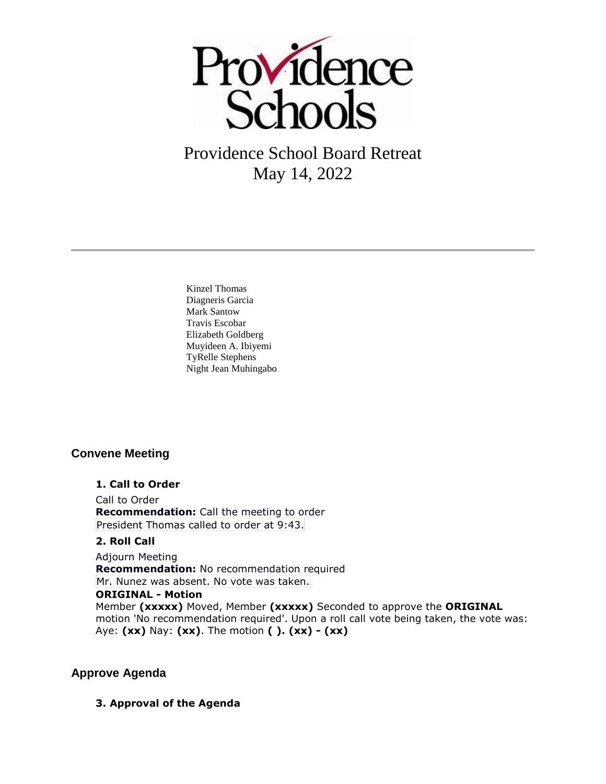

Providence School Board Retreat May 14, 2022

Kinzel Thomas Diagneris Garcia Mark Santow Travis Escobar Elizabeth Goldberg Muyideen A. Ibiyemi TyRelle Stephens Night Jean Muhingabo

## **Convene Meeting**

#### **1. Call to Order**

Call to Order **Recommendation:** Call the meeting to order President Thomas called to order at 9:43.

#### **2. Roll Call**

Adjourn Meeting **Recommendation:** No recommendation required Mr. Nunez was absent. No vote was taken. **ORIGINAL - Motion** Member **(xxxxx)** Moved, Member **(xxxxx)** Seconded to approve the **ORIGINAL**  motion 'No recommendation required'. Upon a roll call vote being taken, the vote was: Aye: **(xx)** Nay: **(xx)**. The motion **( ). (xx) - (xx)** 

## **Approve Agenda**

**3. Approval of the Agenda**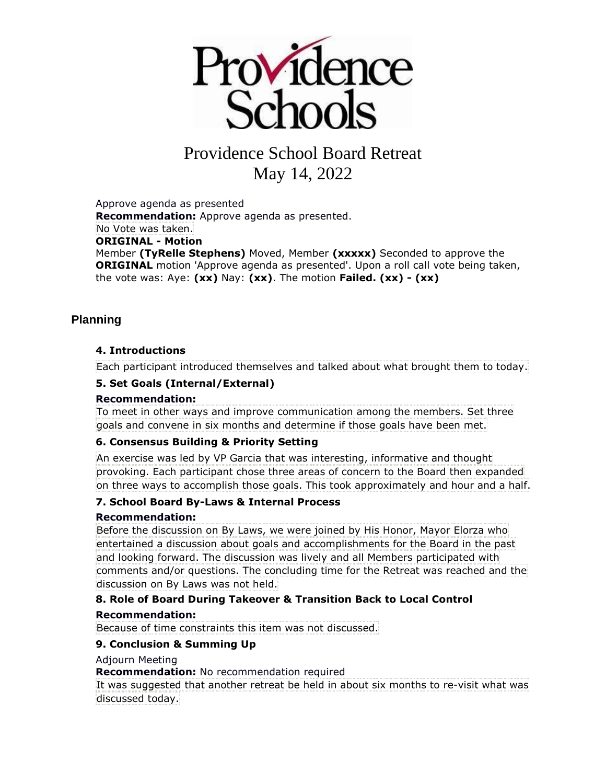

# Providence School Board Retreat May 14, 2022

Approve agenda as presented **Recommendation:** Approve agenda as presented. No Vote was taken. **ORIGINAL - Motion** Member **(TyRelle Stephens)** Moved, Member **(xxxxx)** Seconded to approve the **ORIGINAL** motion 'Approve agenda as presented'. Upon a roll call vote being taken, the vote was: Aye: **(xx)** Nay: **(xx)**. The motion **Failed. (xx) - (xx)** 

## **Planning**

## **4. Introductions**

Each participant introduced themselves and talked about what brought them to today.

#### **5. Set Goals (Internal/External)**

#### **Recommendation:**

To meet in other ways and improve communication among the members. Set three goals and convene in six months and determine if those goals have been met.

## **6. Consensus Building & Priority Setting**

An exercise was led by VP Garcia that was interesting, informative and thought provoking. Each participant chose three areas of concern to the Board then expanded on three ways to accomplish those goals. This took approximately and hour and a half.

#### **7. School Board By-Laws & Internal Process**

#### **Recommendation:**

Before the discussion on By Laws, we were joined by His Honor, Mayor Elorza who entertained a discussion about goals and accomplishments for the Board in the past and looking forward. The discussion was lively and all Members participated with comments and/or questions. The concluding time for the Retreat was reached and the discussion on By Laws was not held.

## **8. Role of Board During Takeover & Transition Back to Local Control**

#### **Recommendation:**

Because of time constraints this item was not discussed.

## **9. Conclusion & Summing Up**

Adjourn Meeting

**Recommendation:** No recommendation required

It was suggested that another retreat be held in about six months to re-visit what was discussed today.